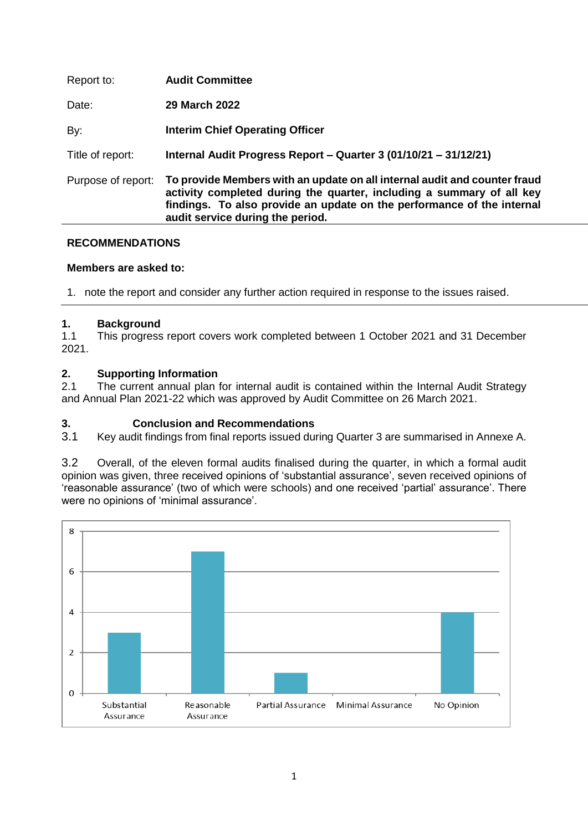| Report to:         | <b>Audit Committee</b>                                                                                                                                                                                                                                           |
|--------------------|------------------------------------------------------------------------------------------------------------------------------------------------------------------------------------------------------------------------------------------------------------------|
| Date:              | <b>29 March 2022</b>                                                                                                                                                                                                                                             |
| By:                | <b>Interim Chief Operating Officer</b>                                                                                                                                                                                                                           |
| Title of report:   | Internal Audit Progress Report - Quarter 3 (01/10/21 - 31/12/21)                                                                                                                                                                                                 |
| Purpose of report: | To provide Members with an update on all internal audit and counter fraud<br>activity completed during the quarter, including a summary of all key<br>findings. To also provide an update on the performance of the internal<br>audit service during the period. |

### **RECOMMENDATIONS**

### **Members are asked to:**

1. note the report and consider any further action required in response to the issues raised.

## **1. Background**

1.1 This progress report covers work completed between 1 October 2021 and 31 December 2021.

## **2. Supporting Information**

2.1 The current annual plan for internal audit is contained within the Internal Audit Strategy and Annual Plan 2021-22 which was approved by Audit Committee on 26 March 2021.

### **3. Conclusion and Recommendations**

3.1 Key audit findings from final reports issued during Quarter 3 are summarised in Annexe A.

3.2 Overall, of the eleven formal audits finalised during the quarter, in which a formal audit opinion was given, three received opinions of 'substantial assurance', seven received opinions of 'reasonable assurance' (two of which were schools) and one received 'partial' assurance'. There were no opinions of 'minimal assurance'.